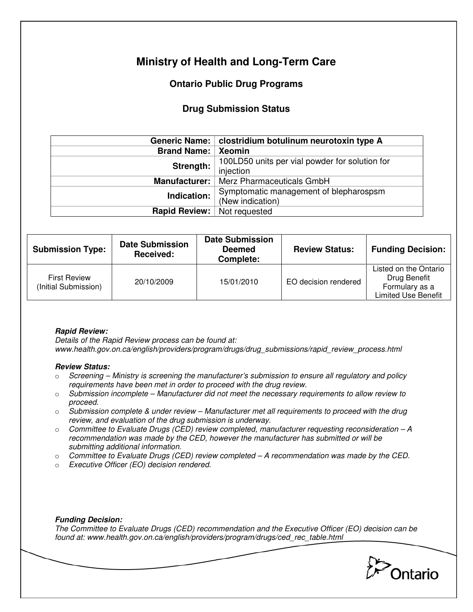# **Ministry of Health and Long-Term Care**

## **Ontario Public Drug Programs**

### **Drug Submission Status**

|                      | Generic Name:   clostridium botulinum neurotoxin type A |  |
|----------------------|---------------------------------------------------------|--|
| <b>Brand Name:</b>   | Xeomin                                                  |  |
| Strength:            | 100LD50 units per vial powder for solution for          |  |
|                      | injection                                               |  |
| <b>Manufacturer:</b> | Merz Pharmaceuticals GmbH                               |  |
| Indication:          | Symptomatic management of blepharospsm                  |  |
|                      | (New indication)                                        |  |
| <b>Rapid Review:</b> | Not requested                                           |  |

| <b>Submission Type:</b>                     | <b>Date Submission</b><br>Received: | <b>Date Submission</b><br><b>Deemed</b><br>Complete: | <b>Review Status:</b> | <b>Funding Decision:</b>                                                              |
|---------------------------------------------|-------------------------------------|------------------------------------------------------|-----------------------|---------------------------------------------------------------------------------------|
| <b>First Review</b><br>(Initial Submission) | 20/10/2009                          | 15/01/2010                                           | EO decision rendered  | Listed on the Ontario<br>Drug Benefit<br>Formulary as a<br><b>Limited Use Benefit</b> |

#### **Rapid Review:**

Details of the Rapid Review process can be found at: www.health.gov.on.ca/english/providers/program/drugs/drug\_submissions/rapid\_review\_process.html

#### **Review Status:**

- $\circ$  Screening Ministry is screening the manufacturer's submission to ensure all regulatory and policy requirements have been met in order to proceed with the drug review.
- $\circ$  Submission incomplete Manufacturer did not meet the necessary requirements to allow review to proceed.
- $\circ$  Submission complete & under review Manufacturer met all requirements to proceed with the drug review, and evaluation of the drug submission is underway.
- $\circ$  Committee to Evaluate Drugs (CED) review completed, manufacturer requesting reconsideration A recommendation was made by the CED, however the manufacturer has submitted or will be submitting additional information.
- $\circ$  Committee to Evaluate Drugs (CED) review completed  $-A$  recommendation was made by the CED.
- o Executive Officer (EO) decision rendered.

#### **Funding Decision:**

The Committee to Evaluate Drugs (CED) recommendation and the Executive Officer (EO) decision can be found at: www.health.gov.on.ca/english/providers/program/drugs/ced\_rec\_table.html